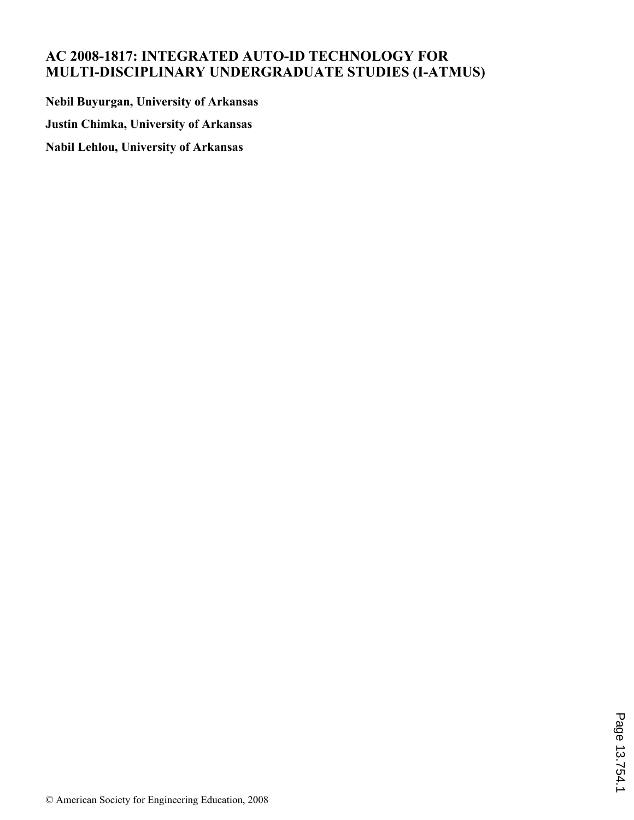# **AC 2008-1817: INTEGRATED AUTO-ID TECHNOLOGY FOR MULTI-DISCIPLINARY UNDERGRADUATE STUDIES (I-ATMUS)**

**Nebil Buyurgan, University of Arkansas Justin Chimka, University of Arkansas**

**Nabil Lehlou, University of Arkansas**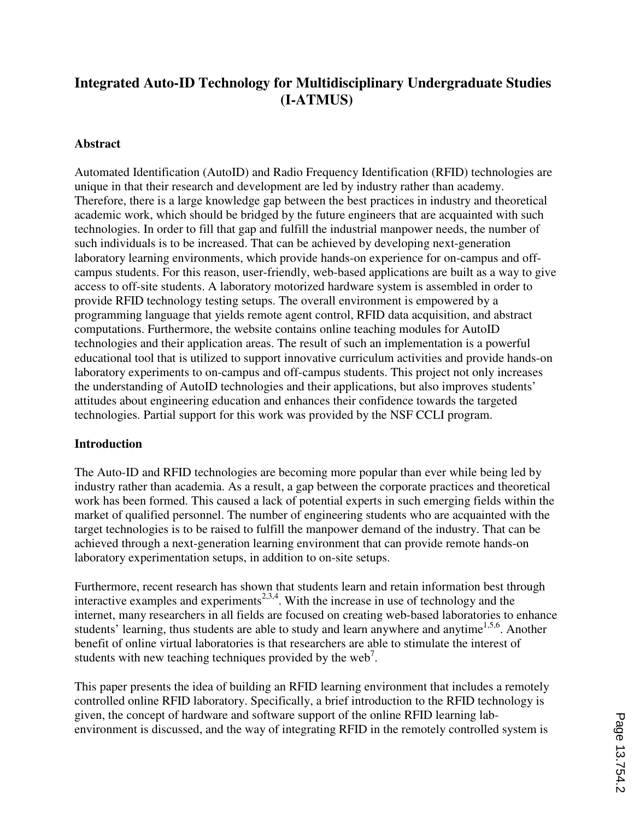# **Integrated Auto-ID Technology for Multidisciplinary Undergraduate Studies (I-ATMUS)**

#### **Abstract**

Automated Identification (AutoID) and Radio Frequency Identification (RFID) technologies are unique in that their research and development are led by industry rather than academy. Therefore, there is a large knowledge gap between the best practices in industry and theoretical academic work, which should be bridged by the future engineers that are acquainted with such technologies. In order to fill that gap and fulfill the industrial manpower needs, the number of such individuals is to be increased. That can be achieved by developing next-generation laboratory learning environments, which provide hands-on experience for on-campus and offcampus students. For this reason, user-friendly, web-based applications are built as a way to give access to off-site students. A laboratory motorized hardware system is assembled in order to provide RFID technology testing setups. The overall environment is empowered by a programming language that yields remote agent control, RFID data acquisition, and abstract computations. Furthermore, the website contains online teaching modules for AutoID technologies and their application areas. The result of such an implementation is a powerful educational tool that is utilized to support innovative curriculum activities and provide hands-on laboratory experiments to on-campus and off-campus students. This project not only increases the understanding of AutoID technologies and their applications, but also improves students' attitudes about engineering education and enhances their confidence towards the targeted technologies. Partial support for this work was provided by the NSF CCLI program.

#### **Introduction**

The Auto-ID and RFID technologies are becoming more popular than ever while being led by industry rather than academia. As a result, a gap between the corporate practices and theoretical work has been formed. This caused a lack of potential experts in such emerging fields within the market of qualified personnel. The number of engineering students who are acquainted with the target technologies is to be raised to fulfill the manpower demand of the industry. That can be achieved through a next-generation learning environment that can provide remote hands-on laboratory experimentation setups, in addition to on-site setups.

Furthermore, recent research has shown that students learn and retain information best through interactive examples and experiments<sup>2,3,4</sup>. With the increase in use of technology and the internet, many researchers in all fields are focused on creating web-based laboratories to enhance students' learning, thus students are able to study and learn anywhere and anytime<sup>1,5,6</sup>. Another benefit of online virtual laboratories is that researchers are able to stimulate the interest of students with new teaching techniques provided by the web<sup>7</sup>.

This paper presents the idea of building an RFID learning environment that includes a remotely controlled online RFID laboratory. Specifically, a brief introduction to the RFID technology is given, the concept of hardware and software support of the online RFID learning labenvironment is discussed, and the way of integrating RFID in the remotely controlled system is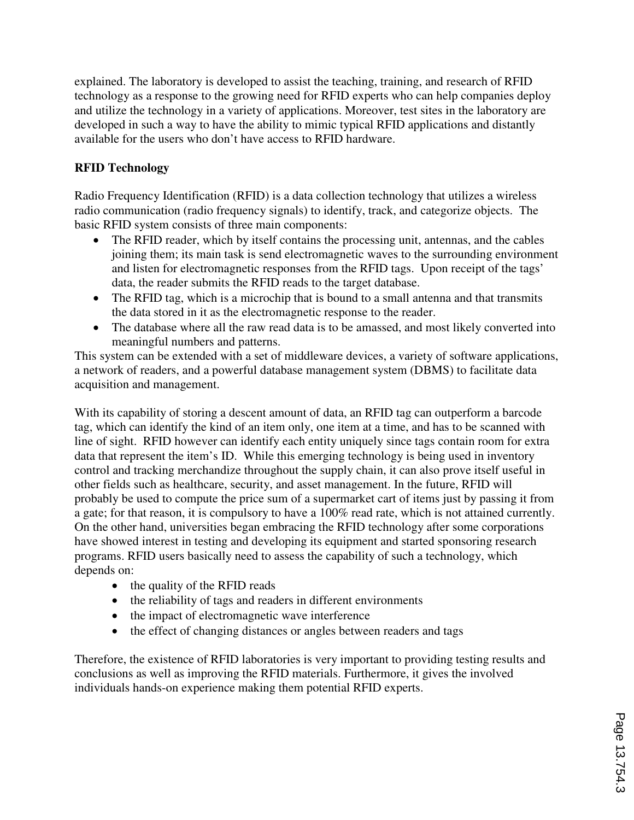explained. The laboratory is developed to assist the teaching, training, and research of RFID technology as a response to the growing need for RFID experts who can help companies deploy and utilize the technology in a variety of applications. Moreover, test sites in the laboratory are developed in such a way to have the ability to mimic typical RFID applications and distantly available for the users who don't have access to RFID hardware.

## **RFID Technology**

Radio Frequency Identification (RFID) is a data collection technology that utilizes a wireless radio communication (radio frequency signals) to identify, track, and categorize objects. The basic RFID system consists of three main components:

- The RFID reader, which by itself contains the processing unit, antennas, and the cables joining them; its main task is send electromagnetic waves to the surrounding environment and listen for electromagnetic responses from the RFID tags. Upon receipt of the tags' data, the reader submits the RFID reads to the target database.
- The RFID tag, which is a microchip that is bound to a small antenna and that transmits the data stored in it as the electromagnetic response to the reader.
- The database where all the raw read data is to be amassed, and most likely converted into meaningful numbers and patterns.

This system can be extended with a set of middleware devices, a variety of software applications, a network of readers, and a powerful database management system (DBMS) to facilitate data acquisition and management.

With its capability of storing a descent amount of data, an RFID tag can outperform a barcode tag, which can identify the kind of an item only, one item at a time, and has to be scanned with line of sight. RFID however can identify each entity uniquely since tags contain room for extra data that represent the item's ID. While this emerging technology is being used in inventory control and tracking merchandize throughout the supply chain, it can also prove itself useful in other fields such as healthcare, security, and asset management. In the future, RFID will probably be used to compute the price sum of a supermarket cart of items just by passing it from a gate; for that reason, it is compulsory to have a 100% read rate, which is not attained currently. On the other hand, universities began embracing the RFID technology after some corporations have showed interest in testing and developing its equipment and started sponsoring research programs. RFID users basically need to assess the capability of such a technology, which depends on:

- the quality of the RFID reads
- the reliability of tags and readers in different environments
- the impact of electromagnetic wave interference
- the effect of changing distances or angles between readers and tags

Therefore, the existence of RFID laboratories is very important to providing testing results and conclusions as well as improving the RFID materials. Furthermore, it gives the involved individuals hands-on experience making them potential RFID experts.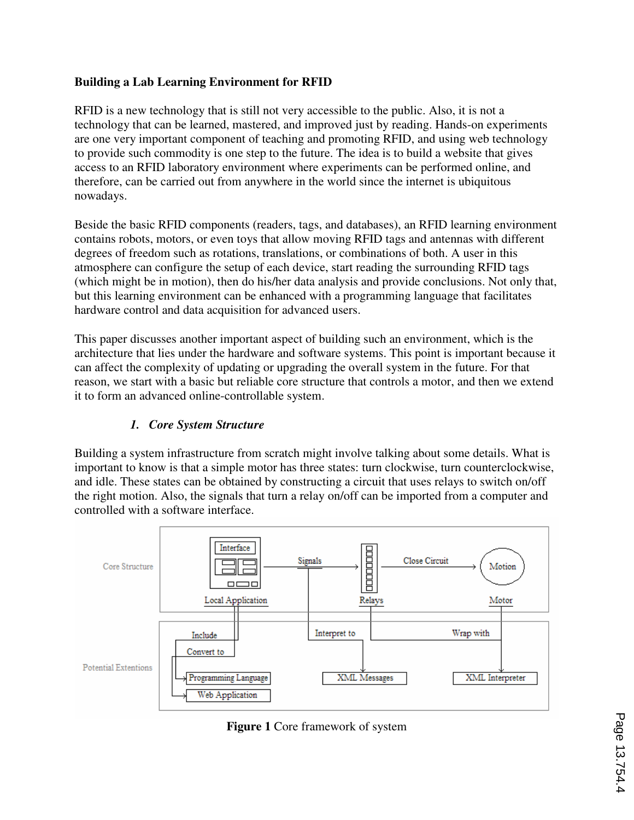### **Building a Lab Learning Environment for RFID**

RFID is a new technology that is still not very accessible to the public. Also, it is not a technology that can be learned, mastered, and improved just by reading. Hands-on experiments are one very important component of teaching and promoting RFID, and using web technology to provide such commodity is one step to the future. The idea is to build a website that gives access to an RFID laboratory environment where experiments can be performed online, and therefore, can be carried out from anywhere in the world since the internet is ubiquitous nowadays.

Beside the basic RFID components (readers, tags, and databases), an RFID learning environment contains robots, motors, or even toys that allow moving RFID tags and antennas with different degrees of freedom such as rotations, translations, or combinations of both. A user in this atmosphere can configure the setup of each device, start reading the surrounding RFID tags (which might be in motion), then do his/her data analysis and provide conclusions. Not only that, but this learning environment can be enhanced with a programming language that facilitates hardware control and data acquisition for advanced users.

This paper discusses another important aspect of building such an environment, which is the architecture that lies under the hardware and software systems. This point is important because it can affect the complexity of updating or upgrading the overall system in the future. For that reason, we start with a basic but reliable core structure that controls a motor, and then we extend it to form an advanced online-controllable system.

## *1. Core System Structure*

Building a system infrastructure from scratch might involve talking about some details. What is important to know is that a simple motor has three states: turn clockwise, turn counterclockwise, and idle. These states can be obtained by constructing a circuit that uses relays to switch on/off the right motion. Also, the signals that turn a relay on/off can be imported from a computer and controlled with a software interface.



**Figure 1** Core framework of system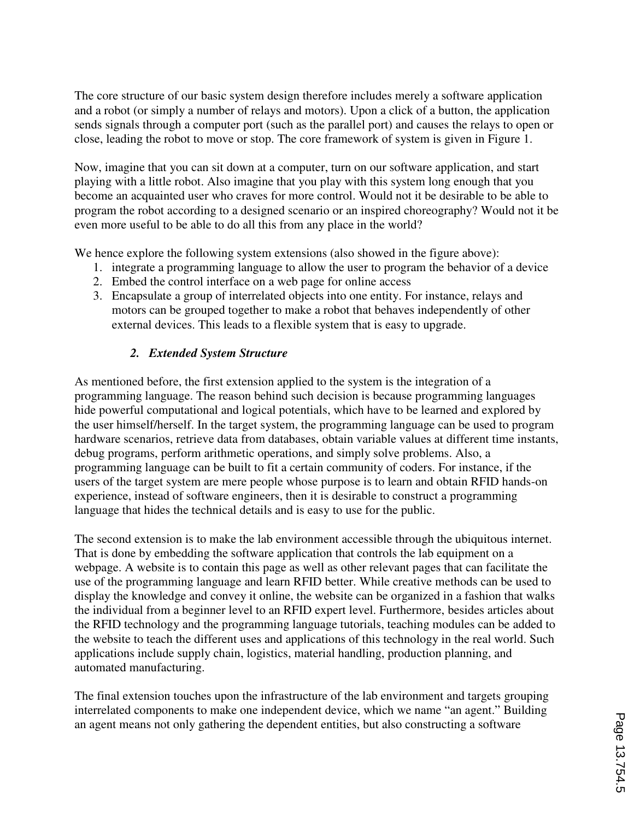The core structure of our basic system design therefore includes merely a software application and a robot (or simply a number of relays and motors). Upon a click of a button, the application sends signals through a computer port (such as the parallel port) and causes the relays to open or close, leading the robot to move or stop. The core framework of system is given in Figure 1.

Now, imagine that you can sit down at a computer, turn on our software application, and start playing with a little robot. Also imagine that you play with this system long enough that you become an acquainted user who craves for more control. Would not it be desirable to be able to program the robot according to a designed scenario or an inspired choreography? Would not it be even more useful to be able to do all this from any place in the world?

We hence explore the following system extensions (also showed in the figure above):

- 1. integrate a programming language to allow the user to program the behavior of a device
- 2. Embed the control interface on a web page for online access
- 3. Encapsulate a group of interrelated objects into one entity. For instance, relays and motors can be grouped together to make a robot that behaves independently of other external devices. This leads to a flexible system that is easy to upgrade.

### *2. Extended System Structure*

As mentioned before, the first extension applied to the system is the integration of a programming language. The reason behind such decision is because programming languages hide powerful computational and logical potentials, which have to be learned and explored by the user himself/herself. In the target system, the programming language can be used to program hardware scenarios, retrieve data from databases, obtain variable values at different time instants, debug programs, perform arithmetic operations, and simply solve problems. Also, a programming language can be built to fit a certain community of coders. For instance, if the users of the target system are mere people whose purpose is to learn and obtain RFID hands-on experience, instead of software engineers, then it is desirable to construct a programming language that hides the technical details and is easy to use for the public.

The second extension is to make the lab environment accessible through the ubiquitous internet. That is done by embedding the software application that controls the lab equipment on a webpage. A website is to contain this page as well as other relevant pages that can facilitate the use of the programming language and learn RFID better. While creative methods can be used to display the knowledge and convey it online, the website can be organized in a fashion that walks the individual from a beginner level to an RFID expert level. Furthermore, besides articles about the RFID technology and the programming language tutorials, teaching modules can be added to the website to teach the different uses and applications of this technology in the real world. Such applications include supply chain, logistics, material handling, production planning, and automated manufacturing.

The final extension touches upon the infrastructure of the lab environment and targets grouping interrelated components to make one independent device, which we name "an agent." Building an agent means not only gathering the dependent entities, but also constructing a software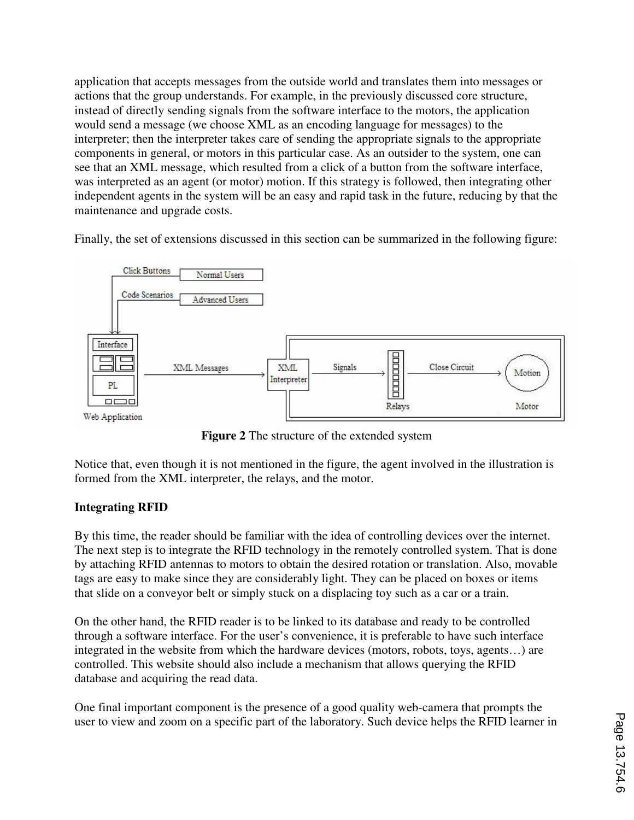application that accepts messages from the outside world and translates them into messages or actions that the group understands. For example, in the previously discussed core structure, instead of directly sending signals from the software interface to the motors, the application would send a message (we choose XML as an encoding language for messages) to the interpreter; then the interpreter takes care of sending the appropriate signals to the appropriate components in general, or motors in this particular case. As an outsider to the system, one can see that an XML message, which resulted from a click of a button from the software interface, was interpreted as an agent (or motor) motion. If this strategy is followed, then integrating other independent agents in the system will be an easy and rapid task in the future, reducing by that the maintenance and upgrade costs.

Finally, the set of extensions discussed in this section can be summarized in the following figure:



**Figure 2** The structure of the extended system

Notice that, even though it is not mentioned in the figure, the agent involved in the illustration is formed from the XML interpreter, the relays, and the motor.

## **Integrating RFID**

By this time, the reader should be familiar with the idea of controlling devices over the internet. The next step is to integrate the RFID technology in the remotely controlled system. That is done by attaching RFID antennas to motors to obtain the desired rotation or translation. Also, movable tags are easy to make since they are considerably light. They can be placed on boxes or items that slide on a conveyor belt or simply stuck on a displacing toy such as a car or a train.

On the other hand, the RFID reader is to be linked to its database and ready to be controlled through a software interface. For the user's convenience, it is preferable to have such interface integrated in the website from which the hardware devices (motors, robots, toys, agents…) are controlled. This website should also include a mechanism that allows querying the RFID database and acquiring the read data.

One final important component is the presence of a good quality web-camera that prompts the user to view and zoom on a specific part of the laboratory. Such device helps the RFID learner in